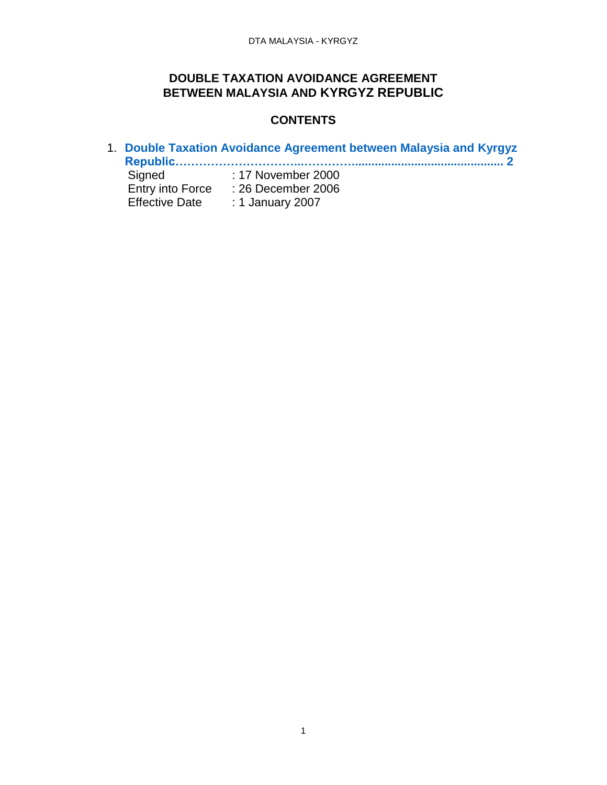## **DOUBLE TAXATION AVOIDANCE AGREEMENT BETWEEN MALAYSIA AND KYRGYZ REPUBLIC**

### **CONTENTS**

1. **[Double Taxation Avoidance Agreement between Malaysia and Kyrgyz](#page-0-0)  [Republic…………………………...…………..............................................](#page-0-0) 2**

<span id="page-0-0"></span>

| Signed                  | : 17 November 2000 |
|-------------------------|--------------------|
| <b>Entry into Force</b> | : 26 December 2006 |
| <b>Effective Date</b>   | : 1 January 2007   |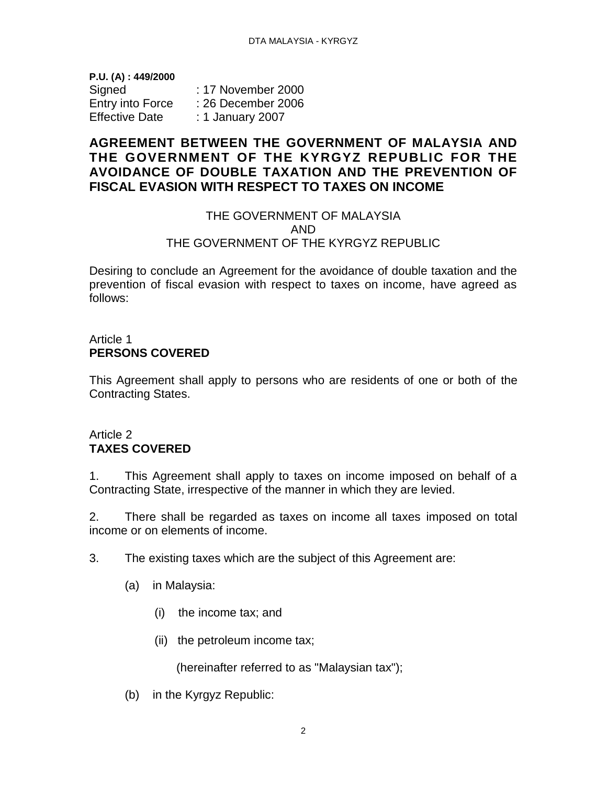**P.U. (A) : 449/2000** Signed : 17 November 2000 Entry into Force : 26 December 2006 Effective Date : 1 January 2007

## **AGREEMENT BETWEEN THE GOVERNMENT OF MALAYSIA AND THE GOVERNMENT OF THE KYRGYZ REPUBLIC FOR THE AVOIDANCE OF DOUBLE TAXATION AND THE PREVENTION OF FISCAL EVASION WITH RESPECT TO TAXES ON INCOME**

#### THE GOVERNMENT OF MALAYSIA AND THE GOVERNMENT OF THE KYRGYZ REPUBLIC

Desiring to conclude an Agreement for the avoidance of double taxation and the prevention of fiscal evasion with respect to taxes on income, have agreed as follows:

#### Article 1 **PERSONS COVERED**

This Agreement shall apply to persons who are residents of one or both of the Contracting States.

#### Article 2 **TAXES COVERED**

1. This Agreement shall apply to taxes on income imposed on behalf of a Contracting State, irrespective of the manner in which they are levied.

2. There shall be regarded as taxes on income all taxes imposed on total income or on elements of income.

3. The existing taxes which are the subject of this Agreement are:

- (a) in Malaysia:
	- (i) the income tax; and
	- (ii) the petroleum income tax;

(hereinafter referred to as "Malaysian tax");

(b) in the Kyrgyz Republic: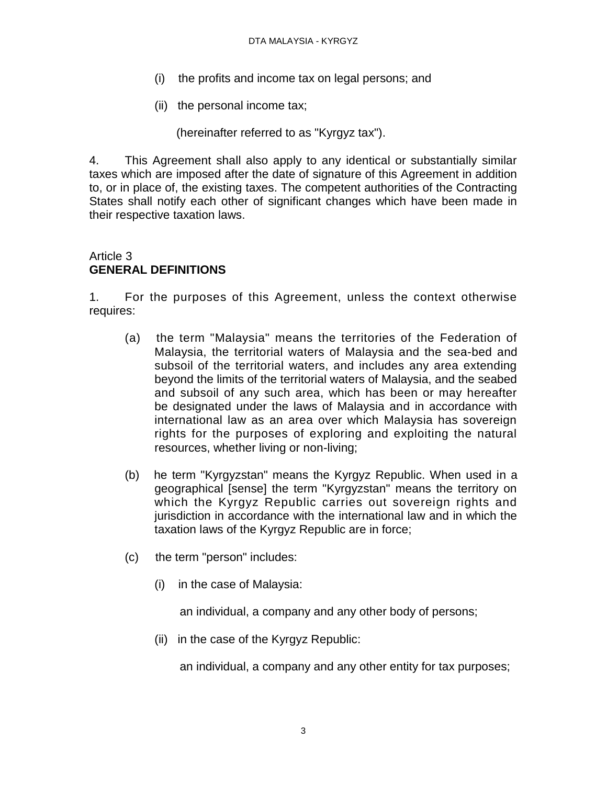- (i) the profits and income tax on legal persons; and
- (ii) the personal income tax;

(hereinafter referred to as "Kyrgyz tax").

4. This Agreement shall also apply to any identical or substantially similar taxes which are imposed after the date of signature of this Agreement in addition to, or in place of, the existing taxes. The competent authorities of the Contracting States shall notify each other of significant changes which have been made in their respective taxation laws.

### Article 3 **GENERAL DEFINITIONS**

1. For the purposes of this Agreement, unless the context otherwise requires:

- (a) the term "Malaysia" means the territories of the Federation of Malaysia, the territorial waters of Malaysia and the sea-bed and subsoil of the territorial waters, and includes any area extending beyond the limits of the territorial waters of Malaysia, and the seabed and subsoil of any such area, which has been or may hereafter be designated under the laws of Malaysia and in accordance with international law as an area over which Malaysia has sovereign rights for the purposes of exploring and exploiting the natural resources, whether living or non-living;
- (b) he term "Kyrgyzstan" means the Kyrgyz Republic. When used in a geographical [sense] the term "Kyrgyzstan" means the territory on which the Kyrgyz Republic carries out sovereign rights and jurisdiction in accordance with the international law and in which the taxation laws of the Kyrgyz Republic are in force;
- (c) the term "person" includes:
	- (i) in the case of Malaysia:

an individual, a company and any other body of persons;

(ii) in the case of the Kyrgyz Republic:

an individual, a company and any other entity for tax purposes;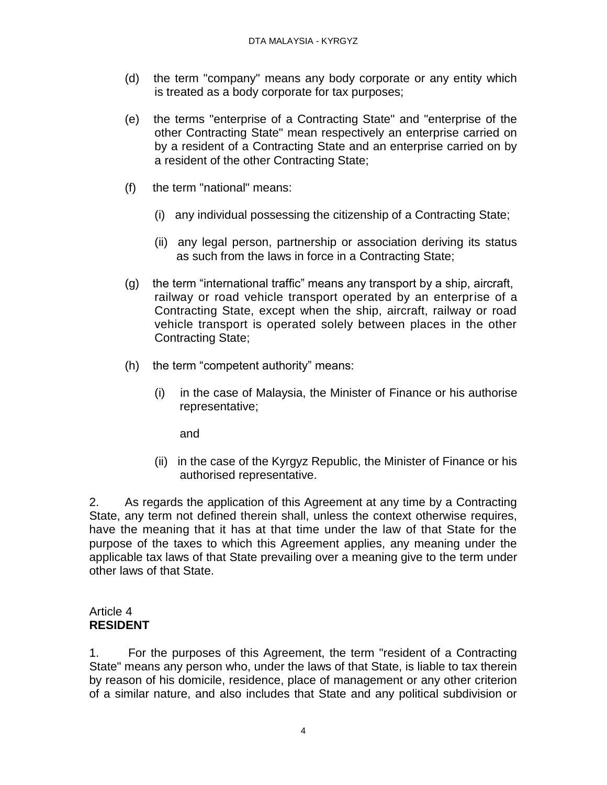- (d) the term "company" means any body corporate or any entity which is treated as a body corporate for tax purposes;
- (e) the terms "enterprise of a Contracting State" and "enterprise of the other Contracting State" mean respectively an enterprise carried on by a resident of a Contracting State and an enterprise carried on by a resident of the other Contracting State;
- (f) the term "national" means:
	- (i) any individual possessing the citizenship of a Contracting State;
	- (ii) any legal person, partnership or association deriving its status as such from the laws in force in a Contracting State;
- (g) the term "international traffic" means any transport by a ship, aircraft, railway or road vehicle transport operated by an enterprise of a Contracting State, except when the ship, aircraft, railway or road vehicle transport is operated solely between places in the other Contracting State;
- (h) the term "competent authority" means:
	- (i) in the case of Malaysia, the Minister of Finance or his authorise representative;

and

(ii) in the case of the Kyrgyz Republic, the Minister of Finance or his authorised representative.

2. As regards the application of this Agreement at any time by a Contracting State, any term not defined therein shall, unless the context otherwise requires, have the meaning that it has at that time under the law of that State for the purpose of the taxes to which this Agreement applies, any meaning under the applicable tax laws of that State prevailing over a meaning give to the term under other laws of that State.

### Article 4 **RESIDENT**

1. For the purposes of this Agreement, the term "resident of a Contracting State" means any person who, under the laws of that State, is liable to tax therein by reason of his domicile, residence, place of management or any other criterion of a similar nature, and also includes that State and any political subdivision or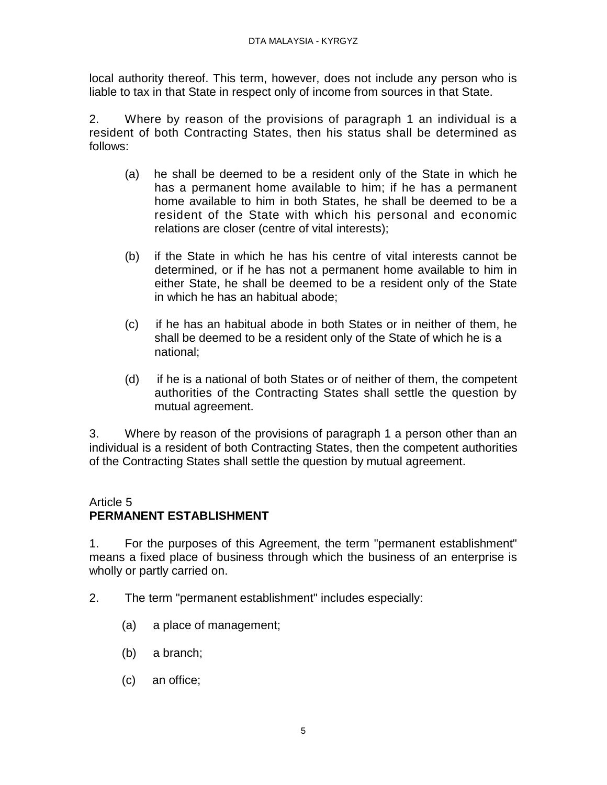local authority thereof. This term, however, does not include any person who is liable to tax in that State in respect only of income from sources in that State.

2. Where by reason of the provisions of paragraph 1 an individual is a resident of both Contracting States, then his status shall be determined as follows:

- (a) he shall be deemed to be a resident only of the State in which he has a permanent home available to him; if he has a permanent home available to him in both States, he shall be deemed to be a resident of the State with which his personal and economic relations are closer (centre of vital interests);
- (b) if the State in which he has his centre of vital interests cannot be determined, or if he has not a permanent home available to him in either State, he shall be deemed to be a resident only of the State in which he has an habitual abode;
- (c) if he has an habitual abode in both States or in neither of them, he shall be deemed to be a resident only of the State of which he is a national;
- (d) if he is a national of both States or of neither of them, the competent authorities of the Contracting States shall settle the question by mutual agreement.

3. Where by reason of the provisions of paragraph 1 a person other than an individual is a resident of both Contracting States, then the competent authorities of the Contracting States shall settle the question by mutual agreement.

### Article 5

# **PERMANENT ESTABLISHMENT**

1. For the purposes of this Agreement, the term "permanent establishment" means a fixed place of business through which the business of an enterprise is wholly or partly carried on.

2. The term "permanent establishment" includes especially:

- (a) a place of management;
- (b) a branch;
- (c) an office;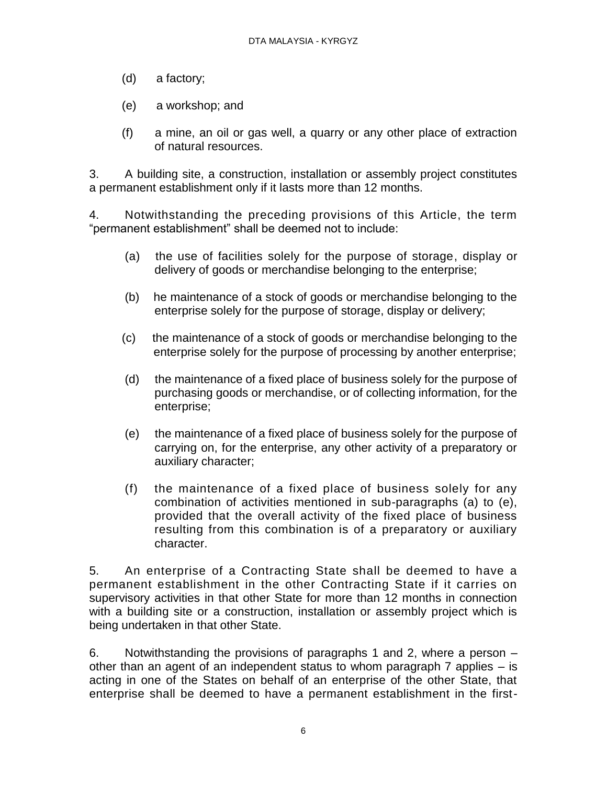- (d) a factory;
- (e) a workshop; and
- (f) a mine, an oil or gas well, a quarry or any other place of extraction of natural resources.

3. A building site, a construction, installation or assembly project constitutes a permanent establishment only if it lasts more than 12 months.

4. Notwithstanding the preceding provisions of this Article, the term "permanent establishment" shall be deemed not to include:

- (a) the use of facilities solely for the purpose of storage, display or delivery of goods or merchandise belonging to the enterprise;
- (b) he maintenance of a stock of goods or merchandise belonging to the enterprise solely for the purpose of storage, display or delivery;
- (c) the maintenance of a stock of goods or merchandise belonging to the enterprise solely for the purpose of processing by another enterprise;
- (d) the maintenance of a fixed place of business solely for the purpose of purchasing goods or merchandise, or of collecting information, for the enterprise;
- (e) the maintenance of a fixed place of business solely for the purpose of carrying on, for the enterprise, any other activity of a preparatory or auxiliary character;
- (f) the maintenance of a fixed place of business solely for any combination of activities mentioned in sub-paragraphs (a) to (e), provided that the overall activity of the fixed place of business resulting from this combination is of a preparatory or auxiliary character.

5. An enterprise of a Contracting State shall be deemed to have a permanent establishment in the other Contracting State if it carries on supervisory activities in that other State for more than 12 months in connection with a building site or a construction, installation or assembly project which is being undertaken in that other State.

6. Notwithstanding the provisions of paragraphs 1 and 2, where a person – other than an agent of an independent status to whom paragraph 7 applies – is acting in one of the States on behalf of an enterprise of the other State, that enterprise shall be deemed to have a permanent establishment in the first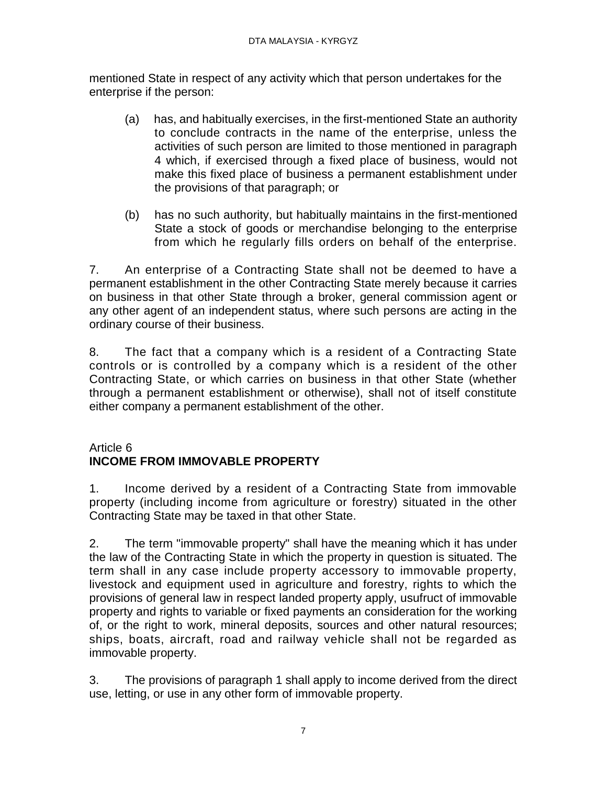mentioned State in respect of any activity which that person undertakes for the enterprise if the person:

- (a) has, and habitually exercises, in the first-mentioned State an authority to conclude contracts in the name of the enterprise, unless the activities of such person are limited to those mentioned in paragraph 4 which, if exercised through a fixed place of business, would not make this fixed place of business a permanent establishment under the provisions of that paragraph; or
- (b) has no such authority, but habitually maintains in the first-mentioned State a stock of goods or merchandise belonging to the enterprise from which he regularly fills orders on behalf of the enterprise.

7. An enterprise of a Contracting State shall not be deemed to have a permanent establishment in the other Contracting State merely because it carries on business in that other State through a broker, general commission agent or any other agent of an independent status, where such persons are acting in the ordinary course of their business.

8. The fact that a company which is a resident of a Contracting State controls or is controlled by a company which is a resident of the other Contracting State, or which carries on business in that other State (whether through a permanent establishment or otherwise), shall not of itself constitute either company a permanent establishment of the other.

### Article 6 **INCOME FROM IMMOVABLE PROPERTY**

1. Income derived by a resident of a Contracting State from immovable property (including income from agriculture or forestry) situated in the other Contracting State may be taxed in that other State.

2. The term "immovable property" shall have the meaning which it has under the law of the Contracting State in which the property in question is situated. The term shall in any case include property accessory to immovable property, livestock and equipment used in agriculture and forestry, rights to which the provisions of general law in respect landed property apply, usufruct of immovable property and rights to variable or fixed payments an consideration for the working of, or the right to work, mineral deposits, sources and other natural resources; ships, boats, aircraft, road and railway vehicle shall not be regarded as immovable property.

3. The provisions of paragraph 1 shall apply to income derived from the direct use, letting, or use in any other form of immovable property.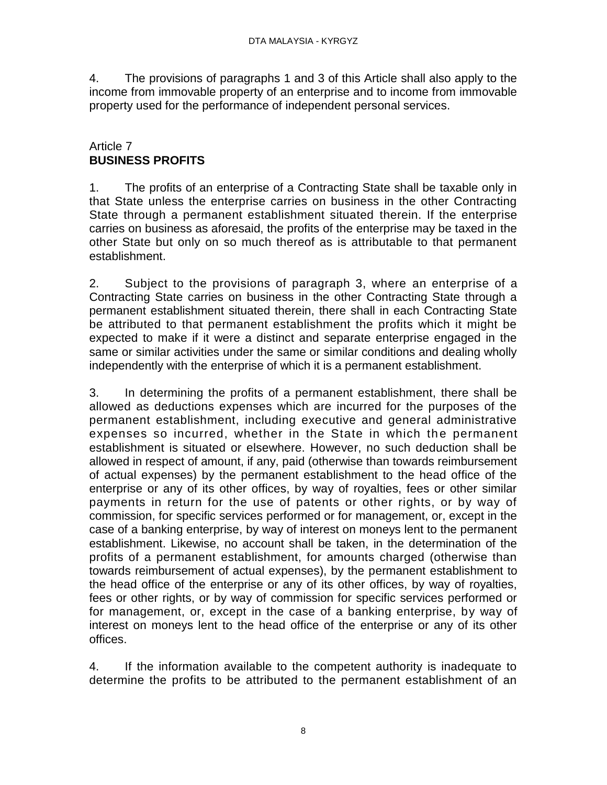4. The provisions of paragraphs 1 and 3 of this Article shall also apply to the income from immovable property of an enterprise and to income from immovable property used for the performance of independent personal services.

### Article 7 **BUSINESS PROFITS**

1. The profits of an enterprise of a Contracting State shall be taxable only in that State unless the enterprise carries on business in the other Contracting State through a permanent establishment situated therein. If the enterprise carries on business as aforesaid, the profits of the enterprise may be taxed in the other State but only on so much thereof as is attributable to that permanent establishment.

2. Subject to the provisions of paragraph 3, where an enterprise of a Contracting State carries on business in the other Contracting State through a permanent establishment situated therein, there shall in each Contracting State be attributed to that permanent establishment the profits which it might be expected to make if it were a distinct and separate enterprise engaged in the same or similar activities under the same or similar conditions and dealing wholly independently with the enterprise of which it is a permanent establishment.

3. In determining the profits of a permanent establishment, there shall be allowed as deductions expenses which are incurred for the purposes of the permanent establishment, including executive and general administrative expenses so incurred, whether in the State in which the permanent establishment is situated or elsewhere. However, no such deduction shall be allowed in respect of amount, if any, paid (otherwise than towards reimbursement of actual expenses) by the permanent establishment to the head office of the enterprise or any of its other offices, by way of royalties, fees or other similar payments in return for the use of patents or other rights, or by way of commission, for specific services performed or for management, or, except in the case of a banking enterprise, by way of interest on moneys lent to the permanent establishment. Likewise, no account shall be taken, in the determination of the profits of a permanent establishment, for amounts charged (otherwise than towards reimbursement of actual expenses), by the permanent establishment to the head office of the enterprise or any of its other offices, by way of royalties, fees or other rights, or by way of commission for specific services performed or for management, or, except in the case of a banking enterprise, by way of interest on moneys lent to the head office of the enterprise or any of its other offices.

4. If the information available to the competent authority is inadequate to determine the profits to be attributed to the permanent establishment of an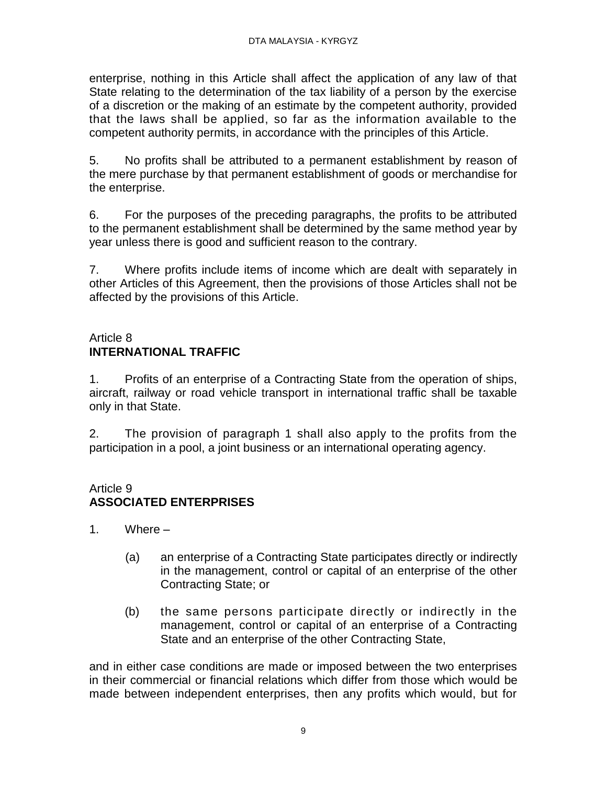enterprise, nothing in this Article shall affect the application of any law of that State relating to the determination of the tax liability of a person by the exercise of a discretion or the making of an estimate by the competent authority, provided that the laws shall be applied, so far as the information available to the competent authority permits, in accordance with the principles of this Article.

5. No profits shall be attributed to a permanent establishment by reason of the mere purchase by that permanent establishment of goods or merchandise for the enterprise.

6. For the purposes of the preceding paragraphs, the profits to be attributed to the permanent establishment shall be determined by the same method year by year unless there is good and sufficient reason to the contrary.

7. Where profits include items of income which are dealt with separately in other Articles of this Agreement, then the provisions of those Articles shall not be affected by the provisions of this Article.

## Article 8 **INTERNATIONAL TRAFFIC**

1. Profits of an enterprise of a Contracting State from the operation of ships, aircraft, railway or road vehicle transport in international traffic shall be taxable only in that State.

2. The provision of paragraph 1 shall also apply to the profits from the participation in a pool, a joint business or an international operating agency.

### Article 9 **ASSOCIATED ENTERPRISES**

- 1. Where
	- (a) an enterprise of a Contracting State participates directly or indirectly in the management, control or capital of an enterprise of the other Contracting State; or
	- (b) the same persons participate directly or indirectly in the management, control or capital of an enterprise of a Contracting State and an enterprise of the other Contracting State,

and in either case conditions are made or imposed between the two enterprises in their commercial or financial relations which differ from those which would be made between independent enterprises, then any profits which would, but for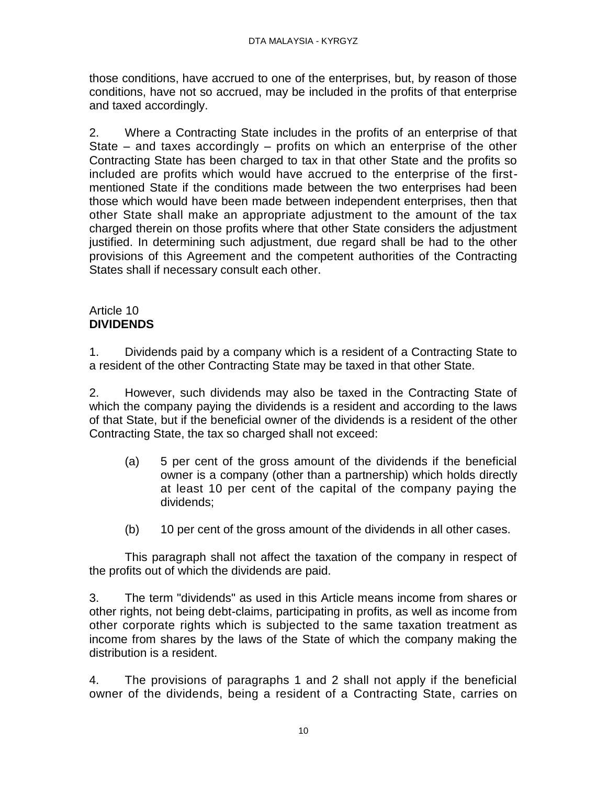those conditions, have accrued to one of the enterprises, but, by reason of those conditions, have not so accrued, may be included in the profits of that enterprise and taxed accordingly.

2. Where a Contracting State includes in the profits of an enterprise of that State – and taxes accordingly – profits on which an enterprise of the other Contracting State has been charged to tax in that other State and the profits so included are profits which would have accrued to the enterprise of the firstmentioned State if the conditions made between the two enterprises had been those which would have been made between independent enterprises, then that other State shall make an appropriate adjustment to the amount of the tax charged therein on those profits where that other State considers the adjustment justified. In determining such adjustment, due regard shall be had to the other provisions of this Agreement and the competent authorities of the Contracting States shall if necessary consult each other.

### Article 10 **DIVIDENDS**

1. Dividends paid by a company which is a resident of a Contracting State to a resident of the other Contracting State may be taxed in that other State.

2. However, such dividends may also be taxed in the Contracting State of which the company paying the dividends is a resident and according to the laws of that State, but if the beneficial owner of the dividends is a resident of the other Contracting State, the tax so charged shall not exceed:

- (a) 5 per cent of the gross amount of the dividends if the beneficial owner is a company (other than a partnership) which holds directly at least 10 per cent of the capital of the company paying the dividends;
- (b) 10 per cent of the gross amount of the dividends in all other cases.

This paragraph shall not affect the taxation of the company in respect of the profits out of which the dividends are paid.

3. The term "dividends" as used in this Article means income from shares or other rights, not being debt-claims, participating in profits, as well as income from other corporate rights which is subjected to the same taxation treatment as income from shares by the laws of the State of which the company making the distribution is a resident.

4. The provisions of paragraphs 1 and 2 shall not apply if the beneficial owner of the dividends, being a resident of a Contracting State, carries on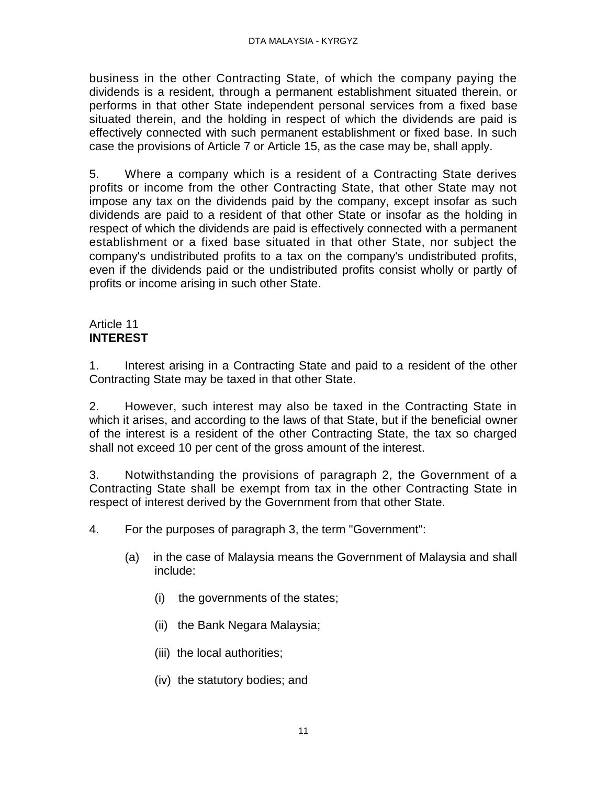business in the other Contracting State, of which the company paying the dividends is a resident, through a permanent establishment situated therein, or performs in that other State independent personal services from a fixed base situated therein, and the holding in respect of which the dividends are paid is effectively connected with such permanent establishment or fixed base. In such case the provisions of Article 7 or Article 15, as the case may be, shall apply.

5. Where a company which is a resident of a Contracting State derives profits or income from the other Contracting State, that other State may not impose any tax on the dividends paid by the company, except insofar as such dividends are paid to a resident of that other State or insofar as the holding in respect of which the dividends are paid is effectively connected with a permanent establishment or a fixed base situated in that other State, nor subject the company's undistributed profits to a tax on the company's undistributed profits, even if the dividends paid or the undistributed profits consist wholly or partly of profits or income arising in such other State.

#### Article 11 **INTEREST**

1. Interest arising in a Contracting State and paid to a resident of the other Contracting State may be taxed in that other State.

2. However, such interest may also be taxed in the Contracting State in which it arises, and according to the laws of that State, but if the beneficial owner of the interest is a resident of the other Contracting State, the tax so charged shall not exceed 10 per cent of the gross amount of the interest.

3. Notwithstanding the provisions of paragraph 2, the Government of a Contracting State shall be exempt from tax in the other Contracting State in respect of interest derived by the Government from that other State.

- 4. For the purposes of paragraph 3, the term "Government":
	- (a) in the case of Malaysia means the Government of Malaysia and shall include:
		- (i) the governments of the states;
		- (ii) the Bank Negara Malaysia;
		- (iii) the local authorities;
		- (iv) the statutory bodies; and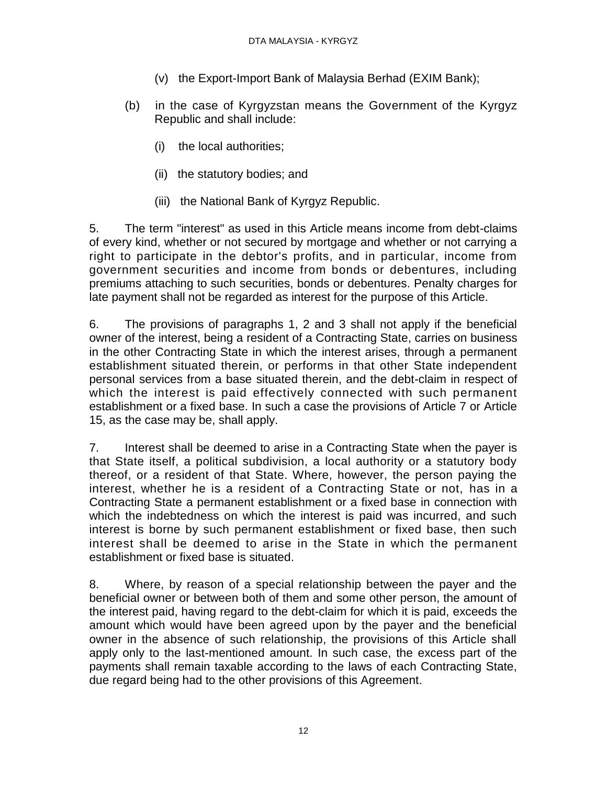- (v) the Export-Import Bank of Malaysia Berhad (EXIM Bank);
- (b) in the case of Kyrgyzstan means the Government of the Kyrgyz Republic and shall include:
	- (i) the local authorities;
	- (ii) the statutory bodies; and
	- (iii) the National Bank of Kyrgyz Republic.

5. The term "interest" as used in this Article means income from debt-claims of every kind, whether or not secured by mortgage and whether or not carrying a right to participate in the debtor's profits, and in particular, income from government securities and income from bonds or debentures, including premiums attaching to such securities, bonds or debentures. Penalty charges for late payment shall not be regarded as interest for the purpose of this Article.

6. The provisions of paragraphs 1, 2 and 3 shall not apply if the beneficial owner of the interest, being a resident of a Contracting State, carries on business in the other Contracting State in which the interest arises, through a permanent establishment situated therein, or performs in that other State independent personal services from a base situated therein, and the debt-claim in respect of which the interest is paid effectively connected with such permanent establishment or a fixed base. In such a case the provisions of Article 7 or Article 15, as the case may be, shall apply.

7. Interest shall be deemed to arise in a Contracting State when the payer is that State itself, a political subdivision, a local authority or a statutory body thereof, or a resident of that State. Where, however, the person paying the interest, whether he is a resident of a Contracting State or not, has in a Contracting State a permanent establishment or a fixed base in connection with which the indebtedness on which the interest is paid was incurred, and such interest is borne by such permanent establishment or fixed base, then such interest shall be deemed to arise in the State in which the permanent establishment or fixed base is situated.

8. Where, by reason of a special relationship between the payer and the beneficial owner or between both of them and some other person, the amount of the interest paid, having regard to the debt-claim for which it is paid, exceeds the amount which would have been agreed upon by the payer and the beneficial owner in the absence of such relationship, the provisions of this Article shall apply only to the last-mentioned amount. In such case, the excess part of the payments shall remain taxable according to the laws of each Contracting State, due regard being had to the other provisions of this Agreement.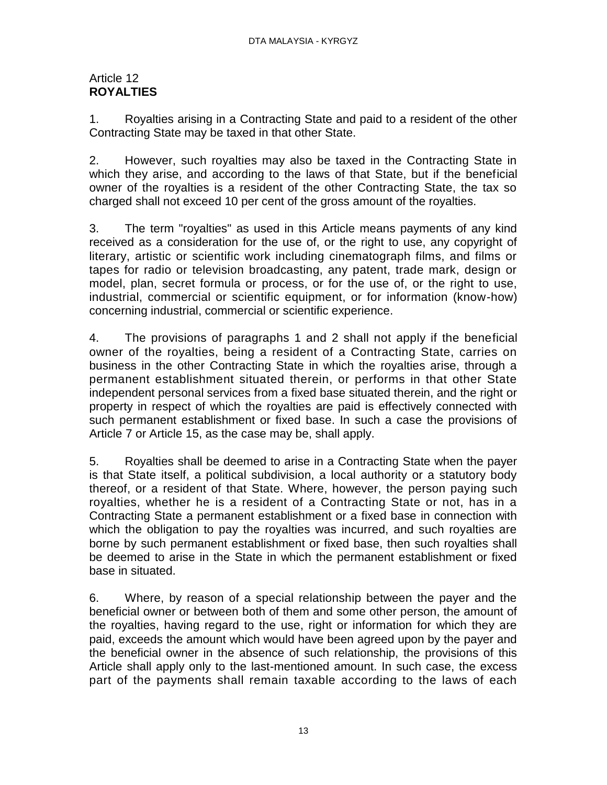#### Article 12 **ROYALTIES**

1. Royalties arising in a Contracting State and paid to a resident of the other Contracting State may be taxed in that other State.

2. However, such royalties may also be taxed in the Contracting State in which they arise, and according to the laws of that State, but if the beneficial owner of the royalties is a resident of the other Contracting State, the tax so charged shall not exceed 10 per cent of the gross amount of the royalties.

3. The term "royalties" as used in this Article means payments of any kind received as a consideration for the use of, or the right to use, any copyright of literary, artistic or scientific work including cinematograph films, and films or tapes for radio or television broadcasting, any patent, trade mark, design or model, plan, secret formula or process, or for the use of, or the right to use, industrial, commercial or scientific equipment, or for information (know-how) concerning industrial, commercial or scientific experience.

4. The provisions of paragraphs 1 and 2 shall not apply if the beneficial owner of the royalties, being a resident of a Contracting State, carries on business in the other Contracting State in which the royalties arise, through a permanent establishment situated therein, or performs in that other State independent personal services from a fixed base situated therein, and the right or property in respect of which the royalties are paid is effectively connected with such permanent establishment or fixed base. In such a case the provisions of Article 7 or Article 15, as the case may be, shall apply.

5. Royalties shall be deemed to arise in a Contracting State when the payer is that State itself, a political subdivision, a local authority or a statutory body thereof, or a resident of that State. Where, however, the person paying such royalties, whether he is a resident of a Contracting State or not, has in a Contracting State a permanent establishment or a fixed base in connection with which the obligation to pay the royalties was incurred, and such royalties are borne by such permanent establishment or fixed base, then such royalties shall be deemed to arise in the State in which the permanent establishment or fixed base in situated.

6. Where, by reason of a special relationship between the payer and the beneficial owner or between both of them and some other person, the amount of the royalties, having regard to the use, right or information for which they are paid, exceeds the amount which would have been agreed upon by the payer and the beneficial owner in the absence of such relationship, the provisions of this Article shall apply only to the last-mentioned amount. In such case, the excess part of the payments shall remain taxable according to the laws of each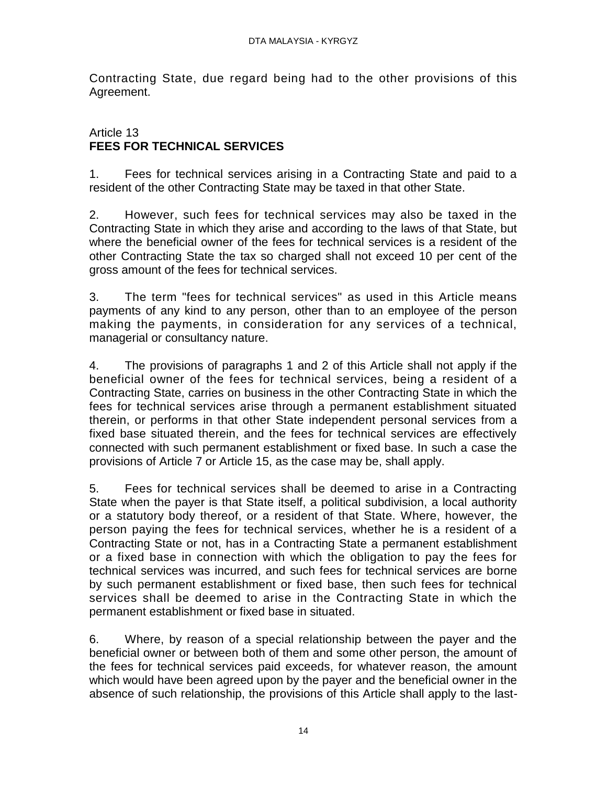Contracting State, due regard being had to the other provisions of this Agreement.

## Article 13 **FEES FOR TECHNICAL SERVICES**

1. Fees for technical services arising in a Contracting State and paid to a resident of the other Contracting State may be taxed in that other State.

2. However, such fees for technical services may also be taxed in the Contracting State in which they arise and according to the laws of that State, but where the beneficial owner of the fees for technical services is a resident of the other Contracting State the tax so charged shall not exceed 10 per cent of the gross amount of the fees for technical services.

3. The term "fees for technical services" as used in this Article means payments of any kind to any person, other than to an employee of the person making the payments, in consideration for any services of a technical, managerial or consultancy nature.

4. The provisions of paragraphs 1 and 2 of this Article shall not apply if the beneficial owner of the fees for technical services, being a resident of a Contracting State, carries on business in the other Contracting State in which the fees for technical services arise through a permanent establishment situated therein, or performs in that other State independent personal services from a fixed base situated therein, and the fees for technical services are effectively connected with such permanent establishment or fixed base. In such a case the provisions of Article 7 or Article 15, as the case may be, shall apply.

5. Fees for technical services shall be deemed to arise in a Contracting State when the payer is that State itself, a political subdivision, a local authority or a statutory body thereof, or a resident of that State. Where, however, the person paying the fees for technical services, whether he is a resident of a Contracting State or not, has in a Contracting State a permanent establishment or a fixed base in connection with which the obligation to pay the fees for technical services was incurred, and such fees for technical services are borne by such permanent establishment or fixed base, then such fees for technical services shall be deemed to arise in the Contracting State in which the permanent establishment or fixed base in situated.

6. Where, by reason of a special relationship between the payer and the beneficial owner or between both of them and some other person, the amount of the fees for technical services paid exceeds, for whatever reason, the amount which would have been agreed upon by the payer and the beneficial owner in the absence of such relationship, the provisions of this Article shall apply to the last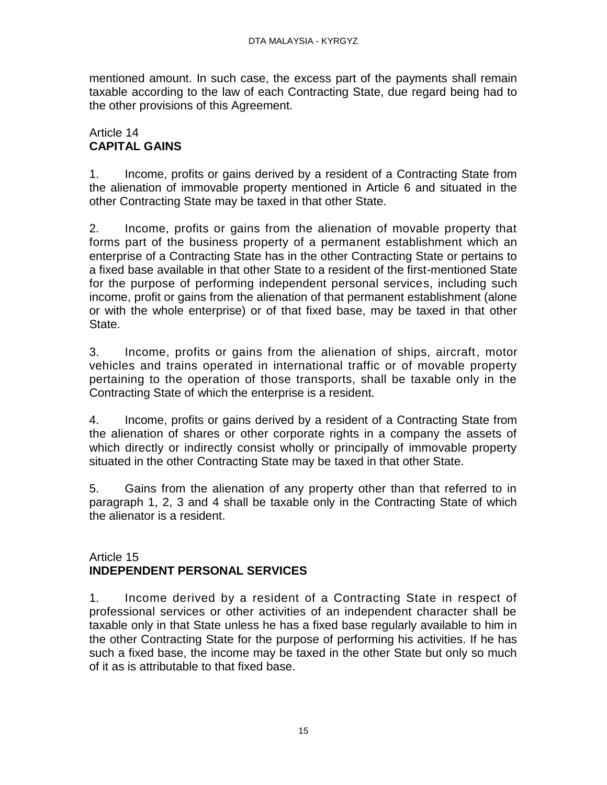mentioned amount. In such case, the excess part of the payments shall remain taxable according to the law of each Contracting State, due regard being had to the other provisions of this Agreement.

### Article 14 **CAPITAL GAINS**

1. Income, profits or gains derived by a resident of a Contracting State from the alienation of immovable property mentioned in Article 6 and situated in the other Contracting State may be taxed in that other State.

2. Income, profits or gains from the alienation of movable property that forms part of the business property of a permanent establishment which an enterprise of a Contracting State has in the other Contracting State or pertains to a fixed base available in that other State to a resident of the first-mentioned State for the purpose of performing independent personal services, including such income, profit or gains from the alienation of that permanent establishment (alone or with the whole enterprise) or of that fixed base, may be taxed in that other State.

3. Income, profits or gains from the alienation of ships, aircraft, motor vehicles and trains operated in international traffic or of movable property pertaining to the operation of those transports, shall be taxable only in the Contracting State of which the enterprise is a resident.

4. Income, profits or gains derived by a resident of a Contracting State from the alienation of shares or other corporate rights in a company the assets of which directly or indirectly consist wholly or principally of immovable property situated in the other Contracting State may be taxed in that other State.

5. Gains from the alienation of any property other than that referred to in paragraph 1, 2, 3 and 4 shall be taxable only in the Contracting State of which the alienator is a resident.

### Article 15 **INDEPENDENT PERSONAL SERVICES**

1. Income derived by a resident of a Contracting State in respect of professional services or other activities of an independent character shall be taxable only in that State unless he has a fixed base regularly available to him in the other Contracting State for the purpose of performing his activities. If he has such a fixed base, the income may be taxed in the other State but only so much of it as is attributable to that fixed base.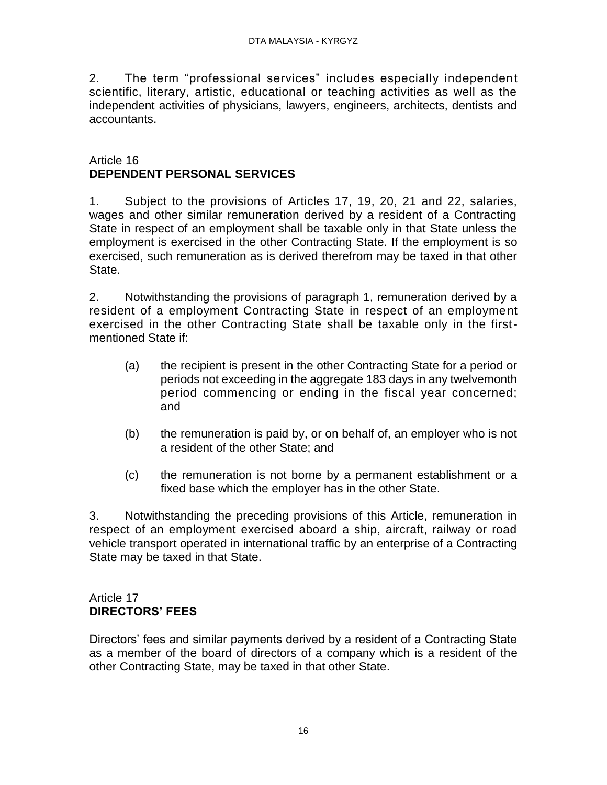2. The term "professional services" includes especially independent scientific, literary, artistic, educational or teaching activities as well as the independent activities of physicians, lawyers, engineers, architects, dentists and accountants.

### Article 16 **DEPENDENT PERSONAL SERVICES**

1. Subject to the provisions of Articles 17, 19, 20, 21 and 22, salaries, wages and other similar remuneration derived by a resident of a Contracting State in respect of an employment shall be taxable only in that State unless the employment is exercised in the other Contracting State. If the employment is so exercised, such remuneration as is derived therefrom may be taxed in that other State.

2. Notwithstanding the provisions of paragraph 1, remuneration derived by a resident of a employment Contracting State in respect of an employment exercised in the other Contracting State shall be taxable only in the firstmentioned State if:

- (a) the recipient is present in the other Contracting State for a period or periods not exceeding in the aggregate 183 days in any twelvemonth period commencing or ending in the fiscal year concerned; and
- (b) the remuneration is paid by, or on behalf of, an employer who is not a resident of the other State; and
- (c) the remuneration is not borne by a permanent establishment or a fixed base which the employer has in the other State.

3. Notwithstanding the preceding provisions of this Article, remuneration in respect of an employment exercised aboard a ship, aircraft, railway or road vehicle transport operated in international traffic by an enterprise of a Contracting State may be taxed in that State.

### Article 17 **DIRECTORS' FEES**

Directors' fees and similar payments derived by a resident of a Contracting State as a member of the board of directors of a company which is a resident of the other Contracting State, may be taxed in that other State.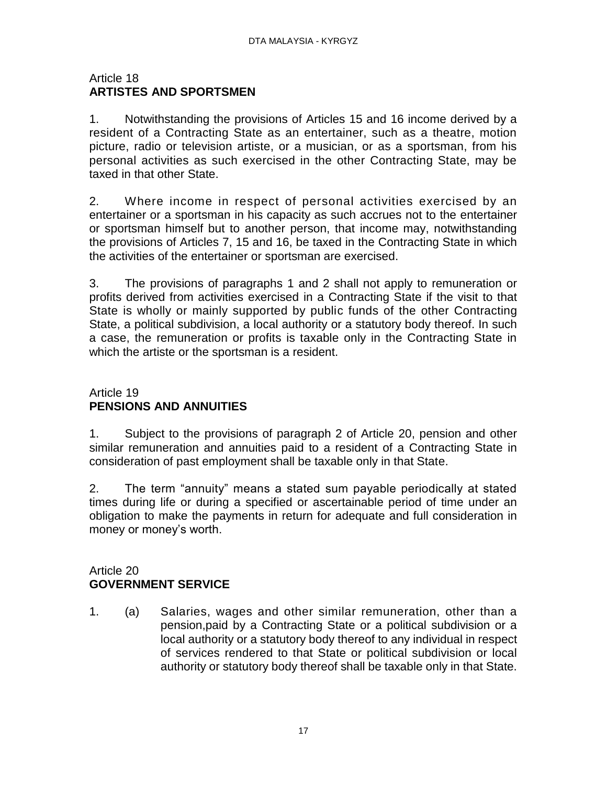### Article 18 **ARTISTES AND SPORTSMEN**

1. Notwithstanding the provisions of Articles 15 and 16 income derived by a resident of a Contracting State as an entertainer, such as a theatre, motion picture, radio or television artiste, or a musician, or as a sportsman, from his personal activities as such exercised in the other Contracting State, may be taxed in that other State.

2. Where income in respect of personal activities exercised by an entertainer or a sportsman in his capacity as such accrues not to the entertainer or sportsman himself but to another person, that income may, notwithstanding the provisions of Articles 7, 15 and 16, be taxed in the Contracting State in which the activities of the entertainer or sportsman are exercised.

3. The provisions of paragraphs 1 and 2 shall not apply to remuneration or profits derived from activities exercised in a Contracting State if the visit to that State is wholly or mainly supported by public funds of the other Contracting State, a political subdivision, a local authority or a statutory body thereof. In such a case, the remuneration or profits is taxable only in the Contracting State in which the artiste or the sportsman is a resident.

### Article 19 **PENSIONS AND ANNUITIES**

1. Subject to the provisions of paragraph 2 of Article 20, pension and other similar remuneration and annuities paid to a resident of a Contracting State in consideration of past employment shall be taxable only in that State.

2. The term "annuity" means a stated sum payable periodically at stated times during life or during a specified or ascertainable period of time under an obligation to make the payments in return for adequate and full consideration in money or money's worth.

### Article 20 **GOVERNMENT SERVICE**

1. (a) Salaries, wages and other similar remuneration, other than a pension,paid by a Contracting State or a political subdivision or a local authority or a statutory body thereof to any individual in respect of services rendered to that State or political subdivision or local authority or statutory body thereof shall be taxable only in that State.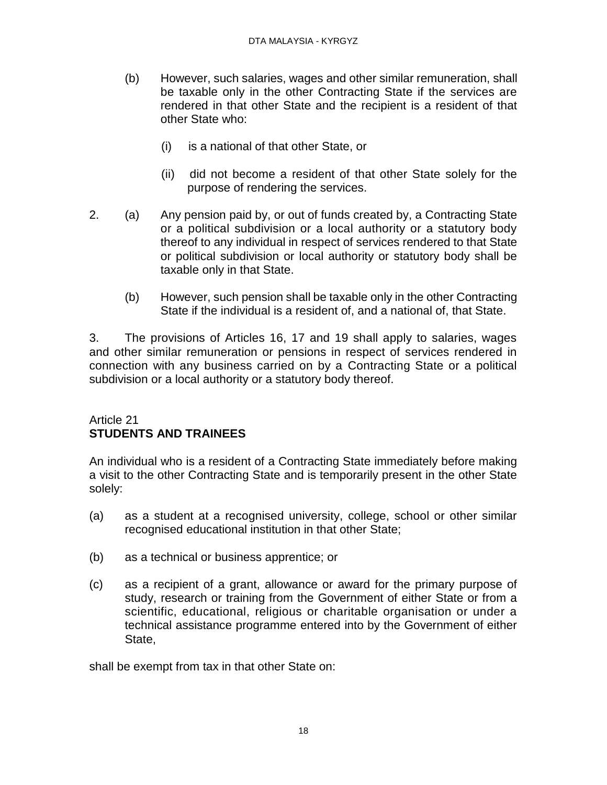- (b) However, such salaries, wages and other similar remuneration, shall be taxable only in the other Contracting State if the services are rendered in that other State and the recipient is a resident of that other State who:
	- (i) is a national of that other State, or
	- (ii) did not become a resident of that other State solely for the purpose of rendering the services.
- 2. (a) Any pension paid by, or out of funds created by, a Contracting State or a political subdivision or a local authority or a statutory body thereof to any individual in respect of services rendered to that State or political subdivision or local authority or statutory body shall be taxable only in that State.
	- (b) However, such pension shall be taxable only in the other Contracting State if the individual is a resident of, and a national of, that State.

3. The provisions of Articles 16, 17 and 19 shall apply to salaries, wages and other similar remuneration or pensions in respect of services rendered in connection with any business carried on by a Contracting State or a political subdivision or a local authority or a statutory body thereof.

#### Article 21 **STUDENTS AND TRAINEES**

An individual who is a resident of a Contracting State immediately before making a visit to the other Contracting State and is temporarily present in the other State solely:

- (a) as a student at a recognised university, college, school or other similar recognised educational institution in that other State;
- (b) as a technical or business apprentice; or
- (c) as a recipient of a grant, allowance or award for the primary purpose of study, research or training from the Government of either State or from a scientific, educational, religious or charitable organisation or under a technical assistance programme entered into by the Government of either State,

shall be exempt from tax in that other State on: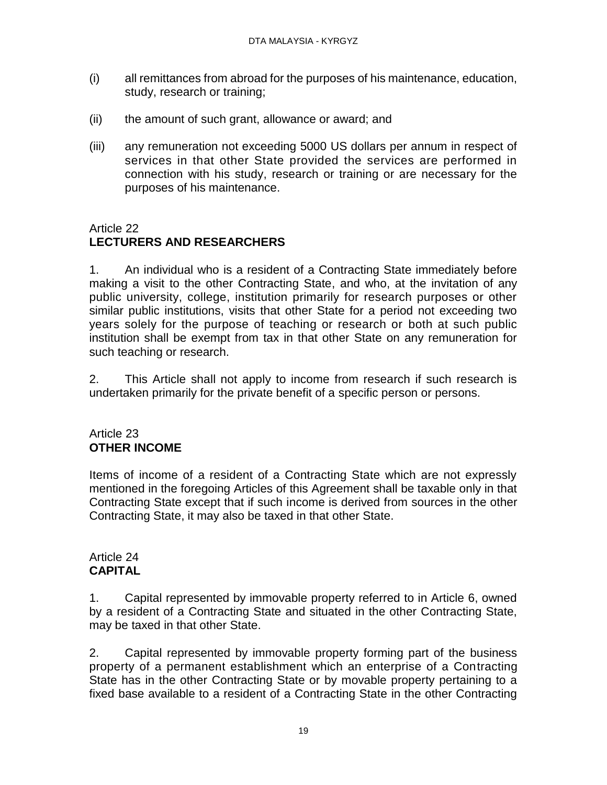- (i) all remittances from abroad for the purposes of his maintenance, education, study, research or training;
- (ii) the amount of such grant, allowance or award; and
- (iii) any remuneration not exceeding 5000 US dollars per annum in respect of services in that other State provided the services are performed in connection with his study, research or training or are necessary for the purposes of his maintenance.

### Article 22

# **LECTURERS AND RESEARCHERS**

1. An individual who is a resident of a Contracting State immediately before making a visit to the other Contracting State, and who, at the invitation of any public university, college, institution primarily for research purposes or other similar public institutions, visits that other State for a period not exceeding two years solely for the purpose of teaching or research or both at such public institution shall be exempt from tax in that other State on any remuneration for such teaching or research.

2. This Article shall not apply to income from research if such research is undertaken primarily for the private benefit of a specific person or persons.

### Article 23 **OTHER INCOME**

Items of income of a resident of a Contracting State which are not expressly mentioned in the foregoing Articles of this Agreement shall be taxable only in that Contracting State except that if such income is derived from sources in the other Contracting State, it may also be taxed in that other State.

#### Article 24 **CAPITAL**

1. Capital represented by immovable property referred to in Article 6, owned by a resident of a Contracting State and situated in the other Contracting State, may be taxed in that other State.

2. Capital represented by immovable property forming part of the business property of a permanent establishment which an enterprise of a Contracting State has in the other Contracting State or by movable property pertaining to a fixed base available to a resident of a Contracting State in the other Contracting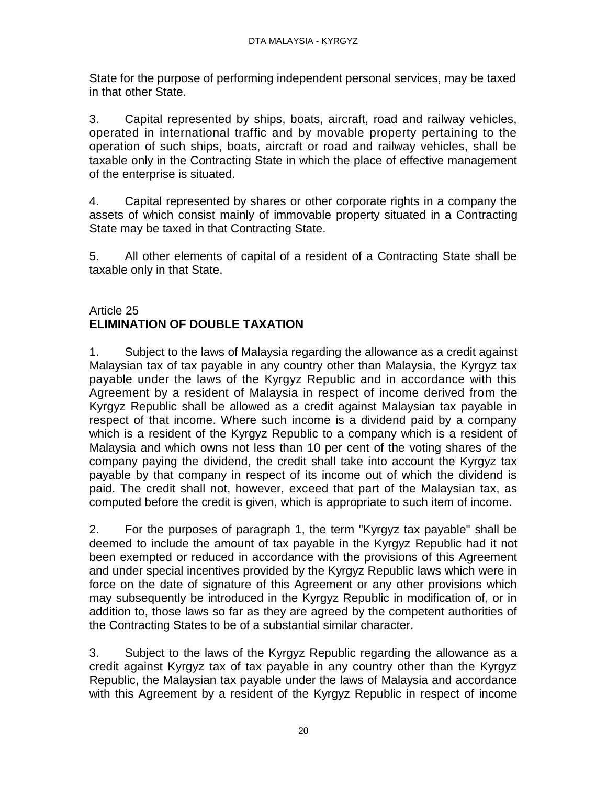State for the purpose of performing independent personal services, may be taxed in that other State.

3. Capital represented by ships, boats, aircraft, road and railway vehicles, operated in international traffic and by movable property pertaining to the operation of such ships, boats, aircraft or road and railway vehicles, shall be taxable only in the Contracting State in which the place of effective management of the enterprise is situated.

4. Capital represented by shares or other corporate rights in a company the assets of which consist mainly of immovable property situated in a Contracting State may be taxed in that Contracting State.

5. All other elements of capital of a resident of a Contracting State shall be taxable only in that State.

### Article 25 **ELIMINATION OF DOUBLE TAXATION**

1. Subject to the laws of Malaysia regarding the allowance as a credit against Malaysian tax of tax payable in any country other than Malaysia, the Kyrgyz tax payable under the laws of the Kyrgyz Republic and in accordance with this Agreement by a resident of Malaysia in respect of income derived from the Kyrgyz Republic shall be allowed as a credit against Malaysian tax payable in respect of that income. Where such income is a dividend paid by a company which is a resident of the Kyrgyz Republic to a company which is a resident of Malaysia and which owns not less than 10 per cent of the voting shares of the company paying the dividend, the credit shall take into account the Kyrgyz tax payable by that company in respect of its income out of which the dividend is paid. The credit shall not, however, exceed that part of the Malaysian tax, as computed before the credit is given, which is appropriate to such item of income.

2. For the purposes of paragraph 1, the term "Kyrgyz tax payable" shall be deemed to include the amount of tax payable in the Kyrgyz Republic had it not been exempted or reduced in accordance with the provisions of this Agreement and under special incentives provided by the Kyrgyz Republic laws which were in force on the date of signature of this Agreement or any other provisions which may subsequently be introduced in the Kyrgyz Republic in modification of, or in addition to, those laws so far as they are agreed by the competent authorities of the Contracting States to be of a substantial similar character.

3. Subject to the laws of the Kyrgyz Republic regarding the allowance as a credit against Kyrgyz tax of tax payable in any country other than the Kyrgyz Republic, the Malaysian tax payable under the laws of Malaysia and accordance with this Agreement by a resident of the Kyrgyz Republic in respect of income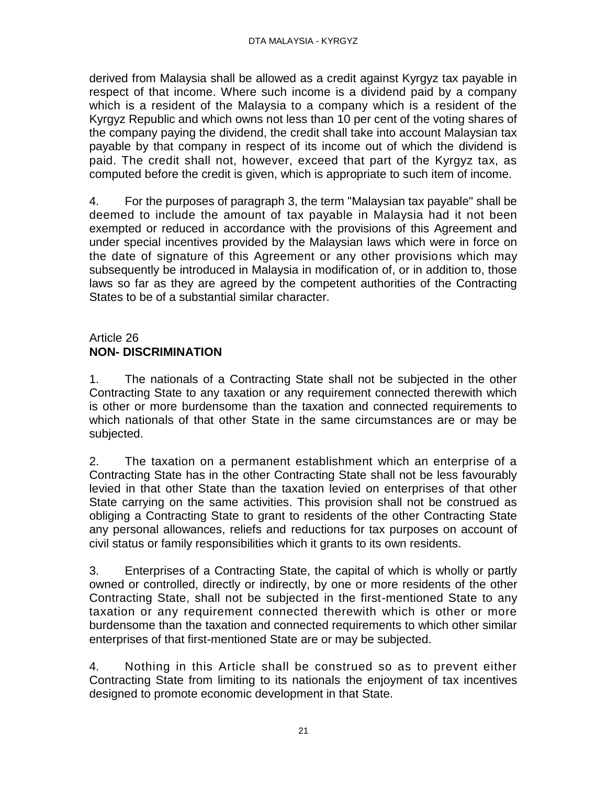derived from Malaysia shall be allowed as a credit against Kyrgyz tax payable in respect of that income. Where such income is a dividend paid by a company which is a resident of the Malaysia to a company which is a resident of the Kyrgyz Republic and which owns not less than 10 per cent of the voting shares of the company paying the dividend, the credit shall take into account Malaysian tax payable by that company in respect of its income out of which the dividend is paid. The credit shall not, however, exceed that part of the Kyrgyz tax, as computed before the credit is given, which is appropriate to such item of income.

4. For the purposes of paragraph 3, the term "Malaysian tax payable" shall be deemed to include the amount of tax payable in Malaysia had it not been exempted or reduced in accordance with the provisions of this Agreement and under special incentives provided by the Malaysian laws which were in force on the date of signature of this Agreement or any other provisions which may subsequently be introduced in Malaysia in modification of, or in addition to, those laws so far as they are agreed by the competent authorities of the Contracting States to be of a substantial similar character.

### Article 26 **NON- DISCRIMINATION**

1. The nationals of a Contracting State shall not be subjected in the other Contracting State to any taxation or any requirement connected therewith which is other or more burdensome than the taxation and connected requirements to which nationals of that other State in the same circumstances are or may be subjected.

2. The taxation on a permanent establishment which an enterprise of a Contracting State has in the other Contracting State shall not be less favourably levied in that other State than the taxation levied on enterprises of that other State carrying on the same activities. This provision shall not be construed as obliging a Contracting State to grant to residents of the other Contracting State any personal allowances, reliefs and reductions for tax purposes on account of civil status or family responsibilities which it grants to its own residents.

3. Enterprises of a Contracting State, the capital of which is wholly or partly owned or controlled, directly or indirectly, by one or more residents of the other Contracting State, shall not be subjected in the first-mentioned State to any taxation or any requirement connected therewith which is other or more burdensome than the taxation and connected requirements to which other similar enterprises of that first-mentioned State are or may be subjected.

4. Nothing in this Article shall be construed so as to prevent either Contracting State from limiting to its nationals the enjoyment of tax incentives designed to promote economic development in that State.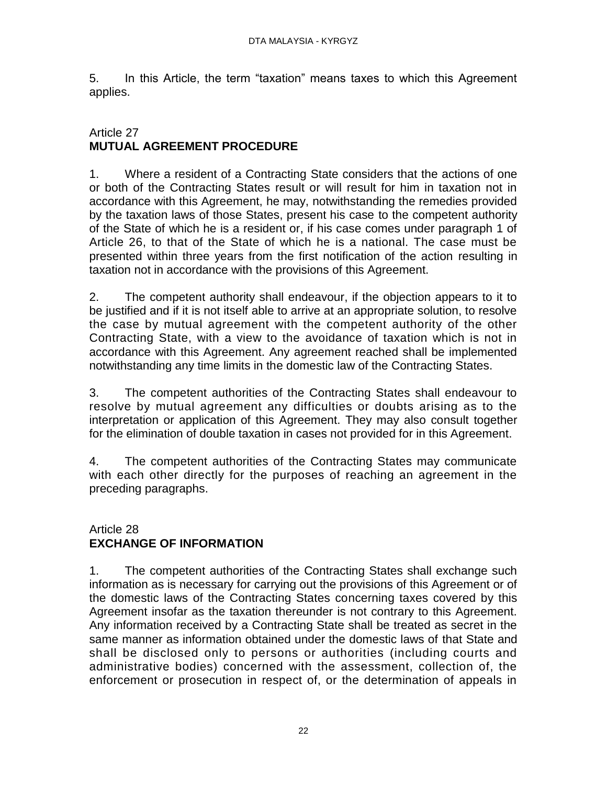5. In this Article, the term "taxation" means taxes to which this Agreement applies.

### Article 27 **MUTUAL AGREEMENT PROCEDURE**

1. Where a resident of a Contracting State considers that the actions of one or both of the Contracting States result or will result for him in taxation not in accordance with this Agreement, he may, notwithstanding the remedies provided by the taxation laws of those States, present his case to the competent authority of the State of which he is a resident or, if his case comes under paragraph 1 of Article 26, to that of the State of which he is a national. The case must be presented within three years from the first notification of the action resulting in taxation not in accordance with the provisions of this Agreement.

2. The competent authority shall endeavour, if the objection appears to it to be justified and if it is not itself able to arrive at an appropriate solution, to resolve the case by mutual agreement with the competent authority of the other Contracting State, with a view to the avoidance of taxation which is not in accordance with this Agreement. Any agreement reached shall be implemented notwithstanding any time limits in the domestic law of the Contracting States.

3. The competent authorities of the Contracting States shall endeavour to resolve by mutual agreement any difficulties or doubts arising as to the interpretation or application of this Agreement. They may also consult together for the elimination of double taxation in cases not provided for in this Agreement.

4. The competent authorities of the Contracting States may communicate with each other directly for the purposes of reaching an agreement in the preceding paragraphs.

### Article 28 **EXCHANGE OF INFORMATION**

1. The competent authorities of the Contracting States shall exchange such information as is necessary for carrying out the provisions of this Agreement or of the domestic laws of the Contracting States concerning taxes covered by this Agreement insofar as the taxation thereunder is not contrary to this Agreement. Any information received by a Contracting State shall be treated as secret in the same manner as information obtained under the domestic laws of that State and shall be disclosed only to persons or authorities (including courts and administrative bodies) concerned with the assessment, collection of, the enforcement or prosecution in respect of, or the determination of appeals in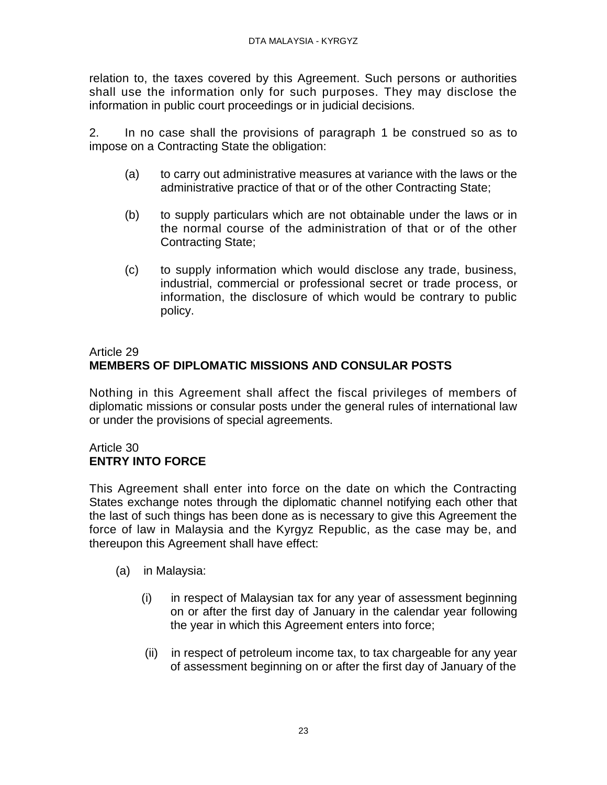relation to, the taxes covered by this Agreement. Such persons or authorities shall use the information only for such purposes. They may disclose the information in public court proceedings or in judicial decisions.

2. In no case shall the provisions of paragraph 1 be construed so as to impose on a Contracting State the obligation:

- (a) to carry out administrative measures at variance with the laws or the administrative practice of that or of the other Contracting State;
- (b) to supply particulars which are not obtainable under the laws or in the normal course of the administration of that or of the other Contracting State;
- (c) to supply information which would disclose any trade, business, industrial, commercial or professional secret or trade process, or information, the disclosure of which would be contrary to public policy.

### Article 29 **MEMBERS OF DIPLOMATIC MISSIONS AND CONSULAR POSTS**

Nothing in this Agreement shall affect the fiscal privileges of members of diplomatic missions or consular posts under the general rules of international law or under the provisions of special agreements.

### Article 30 **ENTRY INTO FORCE**

This Agreement shall enter into force on the date on which the Contracting States exchange notes through the diplomatic channel notifying each other that the last of such things has been done as is necessary to give this Agreement the force of law in Malaysia and the Kyrgyz Republic, as the case may be, and thereupon this Agreement shall have effect:

- (a) in Malaysia:
	- (i) in respect of Malaysian tax for any year of assessment beginning on or after the first day of January in the calendar year following the year in which this Agreement enters into force;
	- (ii) in respect of petroleum income tax, to tax chargeable for any year of assessment beginning on or after the first day of January of the